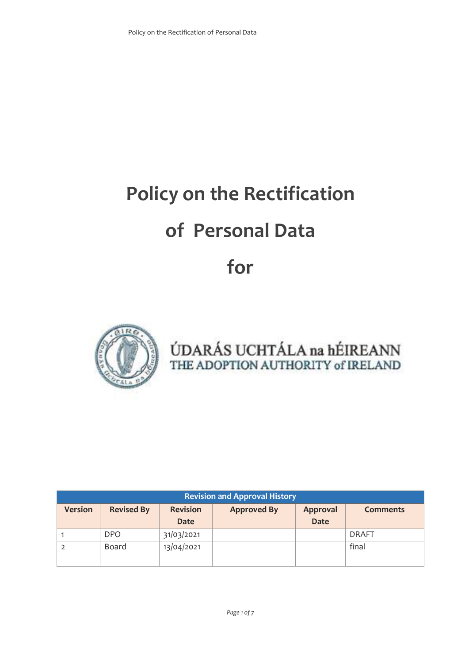# **Policy on the Rectification**

## **of Personal Data**

## **for**



ÚDARÁS UCHTÁLA na hÉIREANN THE ADOPTION AUTHORITY of IRELAND

| <b>Revision and Approval History</b> |                   |                                                          |  |                 |              |  |
|--------------------------------------|-------------------|----------------------------------------------------------|--|-----------------|--------------|--|
| <b>Version</b>                       | <b>Revised By</b> | <b>Revision</b><br><b>Approved By</b><br><b>Approval</b> |  | <b>Comments</b> |              |  |
|                                      |                   | <b>Date</b>                                              |  | <b>Date</b>     |              |  |
|                                      | <b>DPO</b>        | 31/03/2021                                               |  |                 | <b>DRAFT</b> |  |
|                                      | Board             | 13/04/2021                                               |  |                 | final        |  |
|                                      |                   |                                                          |  |                 |              |  |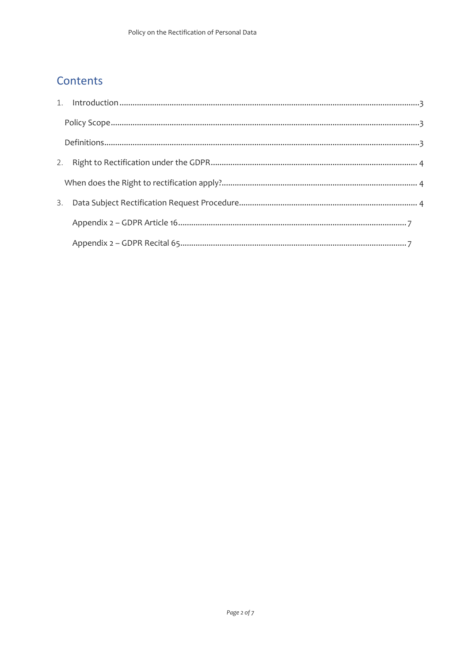### Contents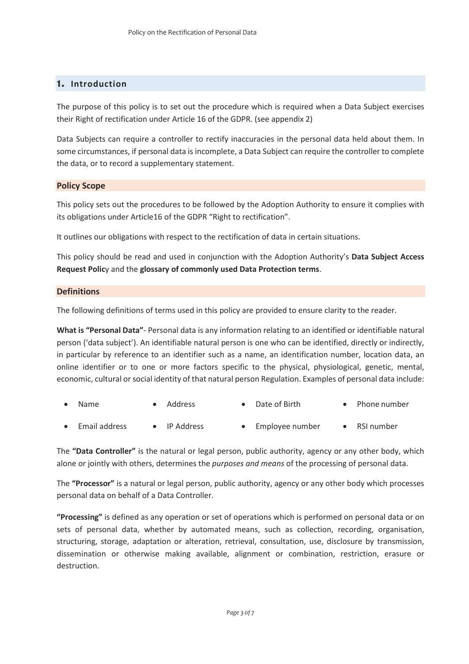#### **1. Introduction**

The purpose of this policy is to set out the procedure which is required when a Data Subject exercises their Right of rectification under Article 16 of the GDPR. (see appendix 2)

Data Subjects can require a controller to rectify inaccuracies in the personal data held about them. In some circumstances, if personal data is incomplete, a Data Subject can require the controller to complete the data, or to record a supplementary statement.

#### **Policy Scope**

This policy sets out the procedures to be followed by the Adoption Authority to ensure it complies with its obligations under Article16 of the GDPR "Right to rectification".

It outlines our obligations with respect to the rectification of data in certain situations.

This policy should be read and used in conjunction with the Adoption Authority's **Data Subject Access Request Polic**y and the **glossary of commonly used Data Protection terms**.

#### **Definitions**

The following definitions of terms used in this policy are provided to ensure clarity to the reader.

**What is "Personal Data"**- Personal data is any information relating to an identified or identifiable natural person ('data subject'). An identifiable natural person is one who can be identified, directly or indirectly, in particular by reference to an identifier such as a name, an identification number, location data, an online identifier or to one or more factors specific to the physical, physiological, genetic, mental, economic, cultural or social identity of that natural person Regulation. Examples of personal data include:

| $\bullet$ Name | • Address | • Date of Birth | • Phone number |
|----------------|-----------|-----------------|----------------|
|                |           |                 |                |

Email address • IP Address • Employee number • RSI number

The **"Data Controller"** is the natural or legal person, public authority, agency or any other body, which alone or jointly with others, determines the *purposes and means* of the processing of personal data.

The **"Processor"** is a natural or legal person, public authority, agency or any other body which processes personal data on behalf of a Data Controller.

**"Processing"** is defined as any operation or set of operations which is performed on personal data or on sets of personal data, whether by automated means, such as collection, recording, organisation, structuring, storage, adaptation or alteration, retrieval, consultation, use, disclosure by transmission, dissemination or otherwise making available, alignment or combination, restriction, erasure or destruction.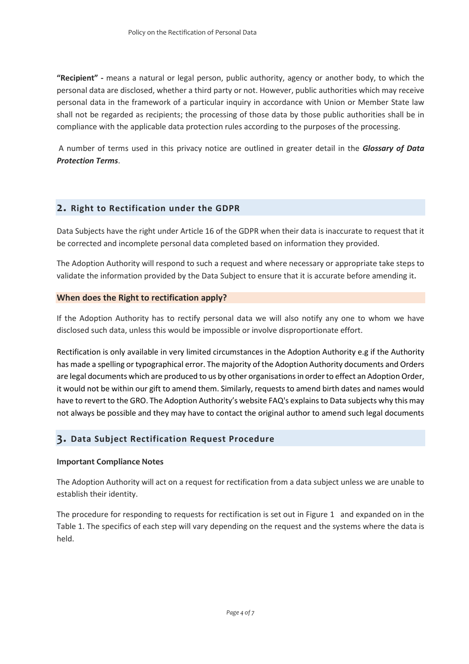**"Recipient" -** means a natural or legal person, public authority, agency or another body, to which the personal data are disclosed, whether a third party or not. However, public authorities which may receive personal data in the framework of a particular inquiry in accordance with Union or Member State law shall not be regarded as recipients; the processing of those data by those public authorities shall be in compliance with the applicable data protection rules according to the purposes of the processing.

A number of terms used in this privacy notice are outlined in greater detail in the *Glossary of Data Protection Terms*.

#### **2. Right to Rectification under the GDPR**

Data Subjects have the right under Article 16 of the GDPR when their data is inaccurate to request that it be corrected and incomplete personal data completed based on information they provided.

The Adoption Authority will respond to such a request and where necessary or appropriate take steps to validate the information provided by the Data Subject to ensure that it is accurate before amending it.

#### **When does the Right to rectification apply?**

If the Adoption Authority has to rectify personal data we will also notify any one to whom we have disclosed such data, unless this would be impossible or involve disproportionate effort.

Rectification is only available in very limited circumstances in the Adoption Authority e.g if the Authority has made a spelling or typographical error. The majority of the Adoption Authority documents and Orders are legal documents which are produced to us by other organisations in order to effect an Adoption Order, it would not be within our gift to amend them. Similarly, requests to amend birth dates and names would have to revert to the GRO. The Adoption Authority's website FAQ's explains to Data subjects why this may not always be possible and they may have to contact the original author to amend such legal documents

#### **3. Data Subject Rectification Request Procedure**

#### **Important Compliance Notes**

The Adoption Authority will act on a request for rectification from a data subject unless we are unable to establish their identity.

The procedure for responding to requests for rectification is set out in Figure 1 and expanded on in the Table 1. The specifics of each step will vary depending on the request and the systems where the data is held.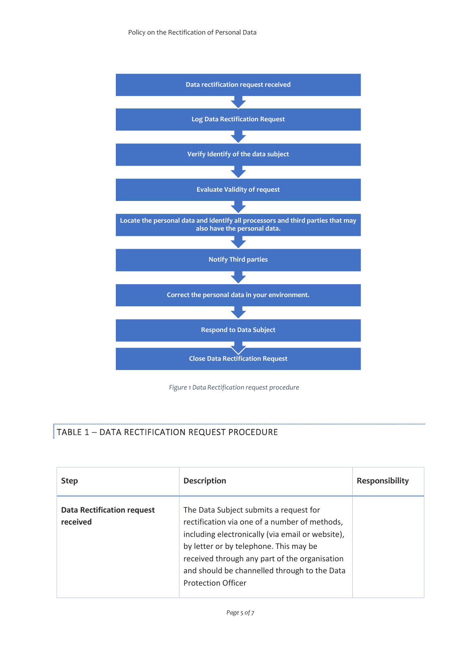

*Figure 1 Data Rectification request procedure*

#### TABLE 1 – DATA RECTIFICATION REQUEST PROCEDURE

| <b>Step</b>                                   | <b>Description</b>                                                                                                                                                                                                                                                                                                  | <b>Responsibility</b> |
|-----------------------------------------------|---------------------------------------------------------------------------------------------------------------------------------------------------------------------------------------------------------------------------------------------------------------------------------------------------------------------|-----------------------|
| <b>Data Rectification request</b><br>received | The Data Subject submits a request for<br>rectification via one of a number of methods,<br>including electronically (via email or website),<br>by letter or by telephone. This may be<br>received through any part of the organisation<br>and should be channelled through to the Data<br><b>Protection Officer</b> |                       |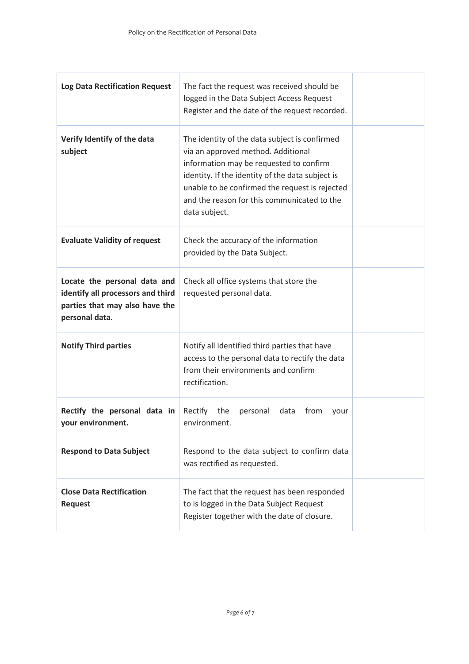| <b>Log Data Rectification Request</b>                                                                                 | The fact the request was received should be<br>logged in the Data Subject Access Request<br>Register and the date of the request recorded.                                                                                                                                                           |  |
|-----------------------------------------------------------------------------------------------------------------------|------------------------------------------------------------------------------------------------------------------------------------------------------------------------------------------------------------------------------------------------------------------------------------------------------|--|
| Verify Identify of the data<br>subject                                                                                | The identity of the data subject is confirmed<br>via an approved method. Additional<br>information may be requested to confirm<br>identity. If the identity of the data subject is<br>unable to be confirmed the request is rejected<br>and the reason for this communicated to the<br>data subject. |  |
| <b>Evaluate Validity of request</b>                                                                                   | Check the accuracy of the information<br>provided by the Data Subject.                                                                                                                                                                                                                               |  |
| Locate the personal data and<br>identify all processors and third<br>parties that may also have the<br>personal data. | Check all office systems that store the<br>requested personal data.                                                                                                                                                                                                                                  |  |
| <b>Notify Third parties</b>                                                                                           | Notify all identified third parties that have<br>access to the personal data to rectify the data<br>from their environments and confirm<br>rectification.                                                                                                                                            |  |
| Rectify the personal data in<br>your environment.                                                                     | Rectify<br>the<br>personal<br>data<br>from<br>your<br>environment.                                                                                                                                                                                                                                   |  |
| <b>Respond to Data Subject</b>                                                                                        | Respond to the data subject to confirm data<br>was rectified as requested.                                                                                                                                                                                                                           |  |
| <b>Close Data Rectification</b><br><b>Request</b>                                                                     | The fact that the request has been responded<br>to is logged in the Data Subject Request<br>Register together with the date of closure.                                                                                                                                                              |  |